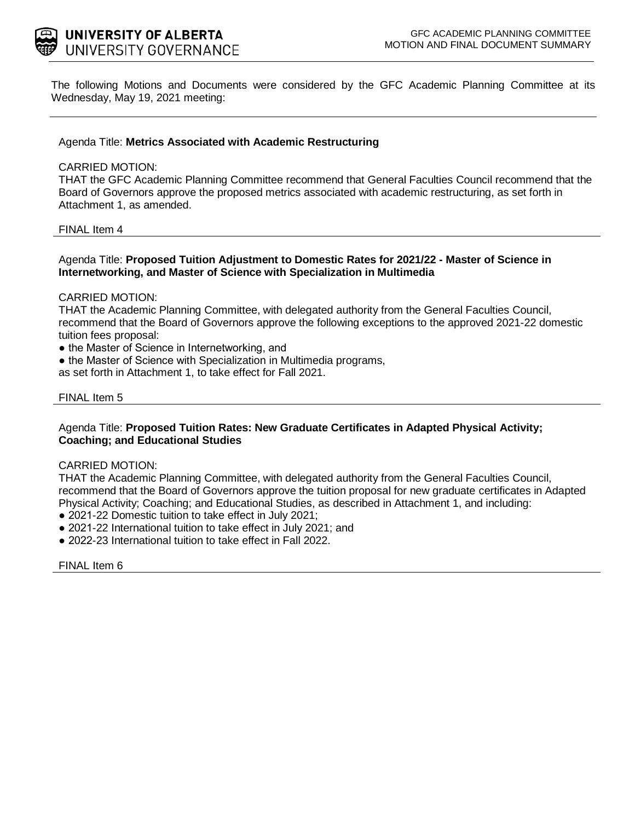

The following Motions and Documents were considered by the GFC Academic Planning Committee at its Wednesday, May 19, 2021 meeting:

## Agenda Title: **Metrics Associated with Academic Restructuring**

#### CARRIED MOTION:

THAT the GFC Academic Planning Committee recommend that General Faculties Council recommend that the Board of Governors approve the proposed metrics associated with academic restructuring, as set forth in Attachment 1, as amended.

#### FINAL Item 4

### Agenda Title: **Proposed Tuition Adjustment to Domestic Rates for 2021/22 - Master of Science in Internetworking, and Master of Science with Specialization in Multimedia**

### CARRIED MOTION:

THAT the Academic Planning Committee, with delegated authority from the General Faculties Council, recommend that the Board of Governors approve the following exceptions to the approved 2021-22 domestic tuition fees proposal:

- the Master of Science in Internetworking, and
- the Master of Science with Specialization in Multimedia programs,
- as set forth in Attachment 1, to take effect for Fall 2021.

#### FINAL Item 5

### Agenda Title: **Proposed Tuition Rates: New Graduate Certificates in Adapted Physical Activity; Coaching; and Educational Studies**

#### CARRIED MOTION:

THAT the Academic Planning Committee, with delegated authority from the General Faculties Council, recommend that the Board of Governors approve the tuition proposal for new graduate certificates in Adapted Physical Activity; Coaching; and Educational Studies, as described in Attachment 1, and including:

- 2021-22 Domestic tuition to take effect in July 2021;
- 2021-22 International tuition to take effect in July 2021; and
- 2022-23 International tuition to take effect in Fall 2022.

FINAL Item 6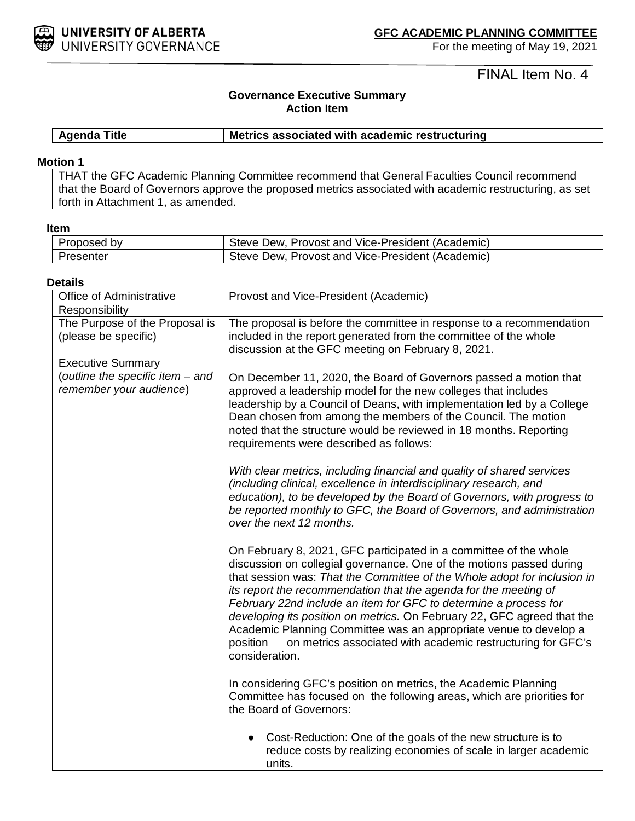

For the meeting of May 19, 2021

FINAL Item No. 4

# **Governance Executive Summary Action Item**

**Agenda Title Metrics associated with academic restructuring**

#### **Motion 1**

THAT the GFC Academic Planning Committee recommend that General Faculties Council recommend that the Board of Governors approve the proposed metrics associated with academic restructuring, as set forth in Attachment 1, as amended.

**Item**

| Proposed by | Steve Dew, Provost and Vice-President (Academic) |
|-------------|--------------------------------------------------|
| Presenter   | Steve Dew, Provost and Vice-President (Academic) |

#### **Details**

| Office of Administrative<br>Responsibility                                              | Provost and Vice-President (Academic)                                                                                                                                                                                                                                                                                                                                                                                                                                                                                                                                                                      |
|-----------------------------------------------------------------------------------------|------------------------------------------------------------------------------------------------------------------------------------------------------------------------------------------------------------------------------------------------------------------------------------------------------------------------------------------------------------------------------------------------------------------------------------------------------------------------------------------------------------------------------------------------------------------------------------------------------------|
| The Purpose of the Proposal is<br>(please be specific)                                  | The proposal is before the committee in response to a recommendation<br>included in the report generated from the committee of the whole<br>discussion at the GFC meeting on February 8, 2021.                                                                                                                                                                                                                                                                                                                                                                                                             |
| <b>Executive Summary</b><br>(outline the specific item - and<br>remember your audience) | On December 11, 2020, the Board of Governors passed a motion that<br>approved a leadership model for the new colleges that includes<br>leadership by a Council of Deans, with implementation led by a College<br>Dean chosen from among the members of the Council. The motion<br>noted that the structure would be reviewed in 18 months. Reporting<br>requirements were described as follows:                                                                                                                                                                                                            |
|                                                                                         | With clear metrics, including financial and quality of shared services<br>(including clinical, excellence in interdisciplinary research, and<br>education), to be developed by the Board of Governors, with progress to<br>be reported monthly to GFC, the Board of Governors, and administration<br>over the next 12 months.                                                                                                                                                                                                                                                                              |
|                                                                                         | On February 8, 2021, GFC participated in a committee of the whole<br>discussion on collegial governance. One of the motions passed during<br>that session was: That the Committee of the Whole adopt for inclusion in<br>its report the recommendation that the agenda for the meeting of<br>February 22nd include an item for GFC to determine a process for<br>developing its position on metrics. On February 22, GFC agreed that the<br>Academic Planning Committee was an appropriate venue to develop a<br>on metrics associated with academic restructuring for GFC's<br>position<br>consideration. |
|                                                                                         | In considering GFC's position on metrics, the Academic Planning<br>Committee has focused on the following areas, which are priorities for<br>the Board of Governors:                                                                                                                                                                                                                                                                                                                                                                                                                                       |
|                                                                                         | Cost-Reduction: One of the goals of the new structure is to<br>$\bullet$<br>reduce costs by realizing economies of scale in larger academic<br>units.                                                                                                                                                                                                                                                                                                                                                                                                                                                      |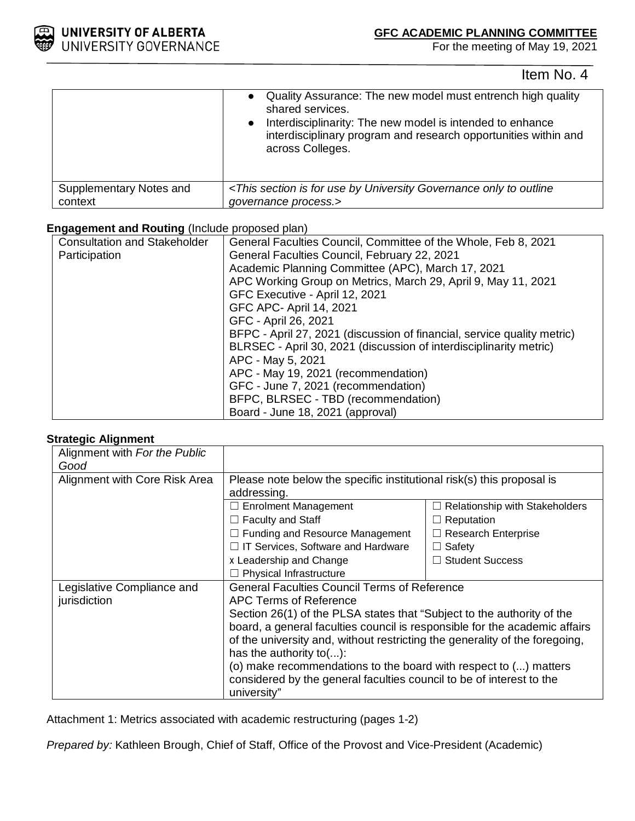

For the meeting of May 19, 2021

Item No. 4

|                         | Quality Assurance: The new model must entrench high quality<br>shared services.<br>Interdisciplinarity: The new model is intended to enhance<br>$\bullet$<br>interdisciplinary program and research opportunities within and<br>across Colleges. |
|-------------------------|--------------------------------------------------------------------------------------------------------------------------------------------------------------------------------------------------------------------------------------------------|
| Supplementary Notes and | <this by="" for="" governance="" is="" only="" outline<="" section="" td="" to="" university="" use=""></this>                                                                                                                                   |
| context                 | governance process.>                                                                                                                                                                                                                             |

# **Engagement and Routing** (Include proposed plan)

| <b>Consultation and Stakeholder</b> | General Faculties Council, Committee of the Whole, Feb 8, 2021          |
|-------------------------------------|-------------------------------------------------------------------------|
| Participation                       | General Faculties Council, February 22, 2021                            |
|                                     | Academic Planning Committee (APC), March 17, 2021                       |
|                                     | APC Working Group on Metrics, March 29, April 9, May 11, 2021           |
|                                     | GFC Executive - April 12, 2021                                          |
|                                     | GFC APC- April 14, 2021                                                 |
|                                     | GFC - April 26, 2021                                                    |
|                                     | BFPC - April 27, 2021 (discussion of financial, service quality metric) |
|                                     | BLRSEC - April 30, 2021 (discussion of interdisciplinarity metric)      |
|                                     | APC - May 5, 2021                                                       |
|                                     | APC - May 19, 2021 (recommendation)                                     |
|                                     | GFC - June 7, 2021 (recommendation)                                     |
|                                     | BFPC, BLRSEC - TBD (recommendation)                                     |
|                                     | Board - June 18, 2021 (approval)                                        |

## **Strategic Alignment**

| Alignment with For the Public |                                                                             |                                |  |
|-------------------------------|-----------------------------------------------------------------------------|--------------------------------|--|
| Good                          |                                                                             |                                |  |
| Alignment with Core Risk Area | Please note below the specific institutional risk(s) this proposal is       |                                |  |
|                               | addressing.                                                                 |                                |  |
|                               | $\Box$ Enrolment Management                                                 | Relationship with Stakeholders |  |
|                               | $\Box$ Faculty and Staff                                                    | $\Box$ Reputation              |  |
|                               | $\Box$ Funding and Resource Management                                      | $\Box$ Research Enterprise     |  |
|                               | $\Box$ IT Services, Software and Hardware                                   | $\Box$ Safety                  |  |
|                               | x Leadership and Change                                                     | $\Box$ Student Success         |  |
|                               | $\Box$ Physical Infrastructure                                              |                                |  |
| Legislative Compliance and    | <b>General Faculties Council Terms of Reference</b>                         |                                |  |
| jurisdiction                  | APC Terms of Reference                                                      |                                |  |
|                               | Section 26(1) of the PLSA states that "Subject to the authority of the      |                                |  |
|                               | board, a general faculties council is responsible for the academic affairs  |                                |  |
|                               | of the university and, without restricting the generality of the foregoing, |                                |  |
|                               | has the authority to $()$ :                                                 |                                |  |
|                               | (o) make recommendations to the board with respect to () matters            |                                |  |
|                               | considered by the general faculties council to be of interest to the        |                                |  |
|                               | university"                                                                 |                                |  |

Attachment 1: Metrics associated with academic restructuring (pages 1-2)

*Prepared by:* Kathleen Brough, Chief of Staff, Office of the Provost and Vice-President (Academic)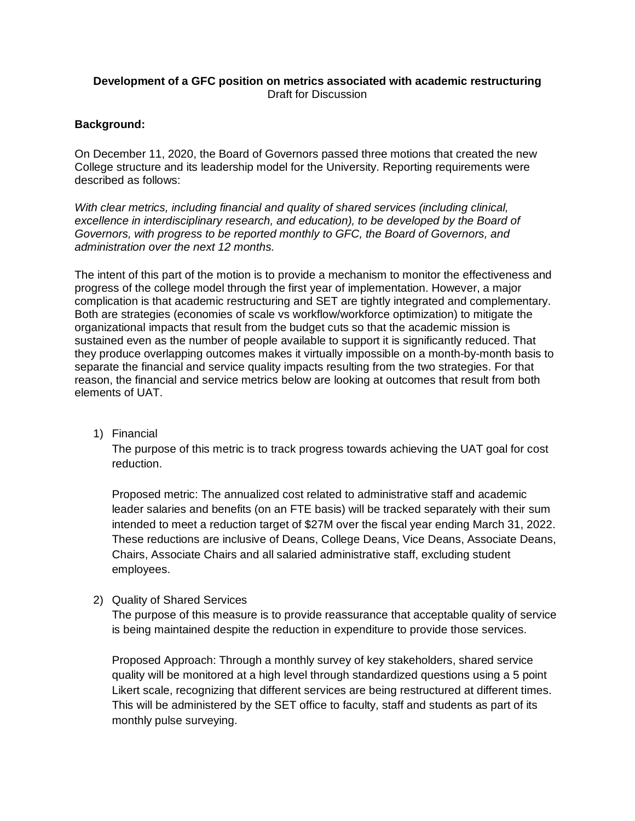# **Development of a GFC position on metrics associated with academic restructuring** Draft for Discussion

# **Background:**

On December 11, 2020, the Board of Governors passed three motions that created the new College structure and its leadership model for the University. Reporting requirements were described as follows:

*With clear metrics, including financial and quality of shared services (including clinical,*  excellence in interdisciplinary research, and education), to be developed by the Board of *Governors, with progress to be reported monthly to GFC, the Board of Governors, and administration over the next 12 months.*

The intent of this part of the motion is to provide a mechanism to monitor the effectiveness and progress of the college model through the first year of implementation. However, a major complication is that academic restructuring and SET are tightly integrated and complementary. Both are strategies (economies of scale vs workflow/workforce optimization) to mitigate the organizational impacts that result from the budget cuts so that the academic mission is sustained even as the number of people available to support it is significantly reduced. That they produce overlapping outcomes makes it virtually impossible on a month-by-month basis to separate the financial and service quality impacts resulting from the two strategies. For that reason, the financial and service metrics below are looking at outcomes that result from both elements of UAT.

1) Financial

The purpose of this metric is to track progress towards achieving the UAT goal for cost reduction.

Proposed metric: The annualized cost related to administrative staff and academic leader salaries and benefits (on an FTE basis) will be tracked separately with their sum intended to meet a reduction target of \$27M over the fiscal year ending March 31, 2022. These reductions are inclusive of Deans, College Deans, Vice Deans, Associate Deans, Chairs, Associate Chairs and all salaried administrative staff, excluding student employees.

2) Quality of Shared Services

The purpose of this measure is to provide reassurance that acceptable quality of service is being maintained despite the reduction in expenditure to provide those services.

Proposed Approach: Through a monthly survey of key stakeholders, shared service quality will be monitored at a high level through standardized questions using a 5 point Likert scale, recognizing that different services are being restructured at different times. This will be administered by the SET office to faculty, staff and students as part of its monthly pulse surveying.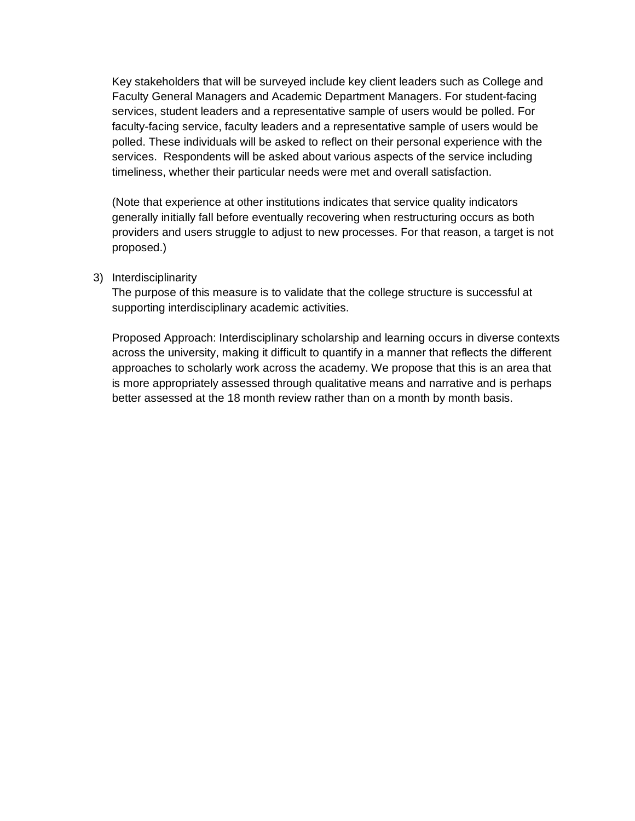Key stakeholders that will be surveyed include key client leaders such as College and Faculty General Managers and Academic Department Managers. For student-facing services, student leaders and a representative sample of users would be polled. For faculty-facing service, faculty leaders and a representative sample of users would be polled. These individuals will be asked to reflect on their personal experience with the services. Respondents will be asked about various aspects of the service including timeliness, whether their particular needs were met and overall satisfaction.

(Note that experience at other institutions indicates that service quality indicators generally initially fall before eventually recovering when restructuring occurs as both providers and users struggle to adjust to new processes. For that reason, a target is not proposed.)

## 3) Interdisciplinarity

The purpose of this measure is to validate that the college structure is successful at supporting interdisciplinary academic activities.

Proposed Approach: Interdisciplinary scholarship and learning occurs in diverse contexts across the university, making it difficult to quantify in a manner that reflects the different approaches to scholarly work across the academy. We propose that this is an area that is more appropriately assessed through qualitative means and narrative and is perhaps better assessed at the 18 month review rather than on a month by month basis.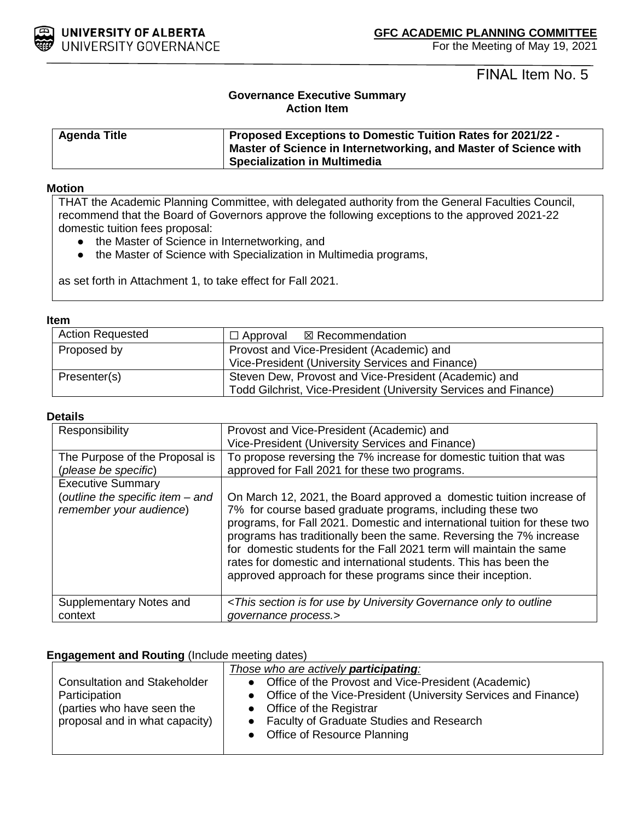

FINAL Item No. 5

# **Governance Executive Summary Action Item**

| <b>Agenda Title</b> | <b>Proposed Exceptions to Domestic Tuition Rates for 2021/22 -</b> |
|---------------------|--------------------------------------------------------------------|
|                     | Master of Science in Internetworking, and Master of Science with   |
|                     | Specialization in Multimedia                                       |

## **Motion**

THAT the Academic Planning Committee, with delegated authority from the General Faculties Council, recommend that the Board of Governors approve the following exceptions to the approved 2021-22 domestic tuition fees proposal:

- the Master of Science in Internetworking, and
- the Master of Science with Specialization in Multimedia programs,

as set forth in Attachment 1, to take effect for Fall 2021.

### **Item**

| <b>Action Requested</b> | $\Box$ Approval $\boxtimes$ Recommendation                                                                                |  |
|-------------------------|---------------------------------------------------------------------------------------------------------------------------|--|
| Proposed by             | Provost and Vice-President (Academic) and<br>Vice-President (University Services and Finance)                             |  |
| Presenter(s)            | Steven Dew, Provost and Vice-President (Academic) and<br>Todd Gilchrist, Vice-President (University Services and Finance) |  |

## **Details**

| Responsibility                                              | Provost and Vice-President (Academic) and<br>Vice-President (University Services and Finance)                                                                                                                                                                                                                                                                                                                                                                                                    |  |
|-------------------------------------------------------------|--------------------------------------------------------------------------------------------------------------------------------------------------------------------------------------------------------------------------------------------------------------------------------------------------------------------------------------------------------------------------------------------------------------------------------------------------------------------------------------------------|--|
| The Purpose of the Proposal is                              | To propose reversing the 7% increase for domestic tuition that was                                                                                                                                                                                                                                                                                                                                                                                                                               |  |
| (please be specific)                                        | approved for Fall 2021 for these two programs.                                                                                                                                                                                                                                                                                                                                                                                                                                                   |  |
| <b>Executive Summary</b>                                    |                                                                                                                                                                                                                                                                                                                                                                                                                                                                                                  |  |
| (outline the specific item - and<br>remember your audience) | On March 12, 2021, the Board approved a domestic tuition increase of<br>7% for course based graduate programs, including these two<br>programs, for Fall 2021. Domestic and international tuition for these two<br>programs has traditionally been the same. Reversing the 7% increase<br>for domestic students for the Fall 2021 term will maintain the same<br>rates for domestic and international students. This has been the<br>approved approach for these programs since their inception. |  |
| Supplementary Notes and                                     | <this by="" for="" governance="" is="" only="" outline<="" section="" td="" to="" university="" use=""></this>                                                                                                                                                                                                                                                                                                                                                                                   |  |
| context                                                     | governance process.>                                                                                                                                                                                                                                                                                                                                                                                                                                                                             |  |

## **Engagement and Routing** (Include meeting dates)

|                                     | Those who are actively participating:                            |  |
|-------------------------------------|------------------------------------------------------------------|--|
| <b>Consultation and Stakeholder</b> | • Office of the Provost and Vice-President (Academic)            |  |
| Participation                       | • Office of the Vice-President (University Services and Finance) |  |
| (parties who have seen the          | • Office of the Registrar                                        |  |
| proposal and in what capacity)      | • Faculty of Graduate Studies and Research                       |  |
|                                     | • Office of Resource Planning                                    |  |
|                                     |                                                                  |  |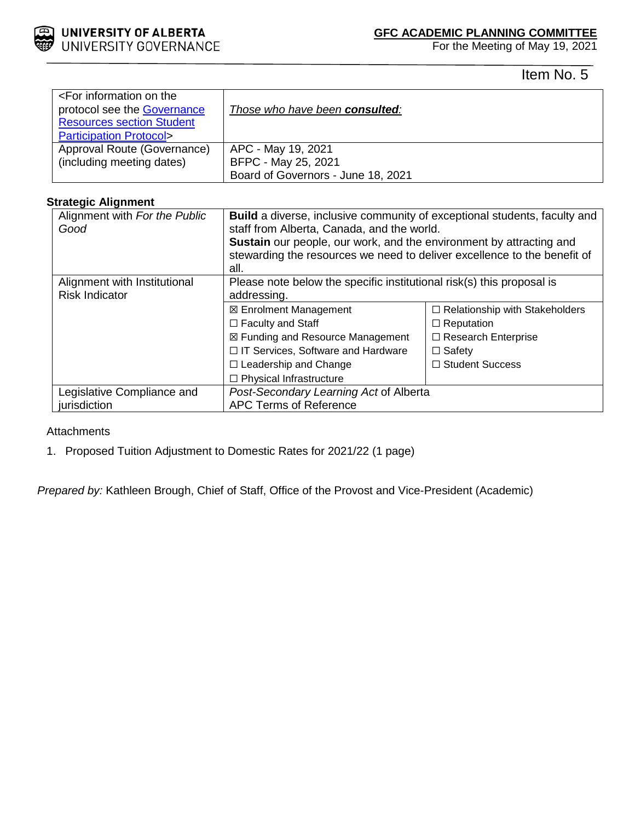

For the Meeting of May 19, 2021

Item No. 5

| <for information="" on="" the<br="">protocol see the <b>Governance</b><br/><b>Resources section Student</b><br/><b>Participation Protocol&gt;</b></for> | Those who have been consulted:                                                  |
|---------------------------------------------------------------------------------------------------------------------------------------------------------|---------------------------------------------------------------------------------|
| Approval Route (Governance)<br>(including meeting dates)                                                                                                | APC - May 19, 2021<br>BFPC - May 25, 2021<br>Board of Governors - June 18, 2021 |

# **Strategic Alignment**

| Alignment with For the Public<br>Good                 | Build a diverse, inclusive community of exceptional students, faculty and<br>staff from Alberta, Canada, and the world.<br><b>Sustain</b> our people, our work, and the environment by attracting and<br>stewarding the resources we need to deliver excellence to the benefit of<br>all. |                                       |  |
|-------------------------------------------------------|-------------------------------------------------------------------------------------------------------------------------------------------------------------------------------------------------------------------------------------------------------------------------------------------|---------------------------------------|--|
| Alignment with Institutional<br><b>Risk Indicator</b> | Please note below the specific institutional risk(s) this proposal is<br>addressing.                                                                                                                                                                                                      |                                       |  |
|                                                       | ⊠ Enrolment Management                                                                                                                                                                                                                                                                    | $\Box$ Relationship with Stakeholders |  |
|                                                       | $\Box$ Faculty and Staff                                                                                                                                                                                                                                                                  | $\Box$ Reputation                     |  |
|                                                       | ⊠ Funding and Resource Management                                                                                                                                                                                                                                                         | $\Box$ Research Enterprise            |  |
|                                                       | □ IT Services, Software and Hardware                                                                                                                                                                                                                                                      | $\Box$ Safety                         |  |
|                                                       | $\Box$ Leadership and Change                                                                                                                                                                                                                                                              | $\Box$ Student Success                |  |
|                                                       | $\Box$ Physical Infrastructure                                                                                                                                                                                                                                                            |                                       |  |
| Legislative Compliance and                            | Post-Secondary Learning Act of Alberta                                                                                                                                                                                                                                                    |                                       |  |
| jurisdiction                                          | <b>APC Terms of Reference</b>                                                                                                                                                                                                                                                             |                                       |  |

## **Attachments**

1. Proposed Tuition Adjustment to Domestic Rates for 2021/22 (1 page)

*Prepared by:* Kathleen Brough, Chief of Staff, Office of the Provost and Vice-President (Academic)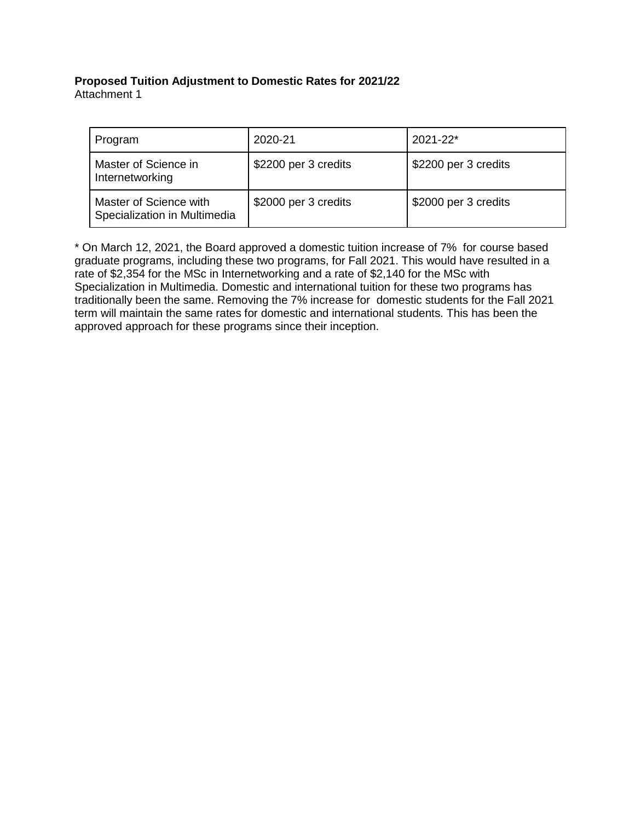## **Proposed Tuition Adjustment to Domestic Rates for 2021/22** Attachment 1

| Program                                                | 2020-21              | $2021 - 22*$         |
|--------------------------------------------------------|----------------------|----------------------|
| Master of Science in<br>Internetworking                | \$2200 per 3 credits | \$2200 per 3 credits |
| Master of Science with<br>Specialization in Multimedia | \$2000 per 3 credits | \$2000 per 3 credits |

\* On March 12, 2021, the Board approved a domestic tuition increase of 7% for course based graduate programs, including these two programs, for Fall 2021. This would have resulted in a rate of \$2,354 for the MSc in Internetworking and a rate of \$2,140 for the MSc with Specialization in Multimedia. Domestic and international tuition for these two programs has traditionally been the same. Removing the 7% increase for domestic students for the Fall 2021 term will maintain the same rates for domestic and international students. This has been the approved approach for these programs since their inception.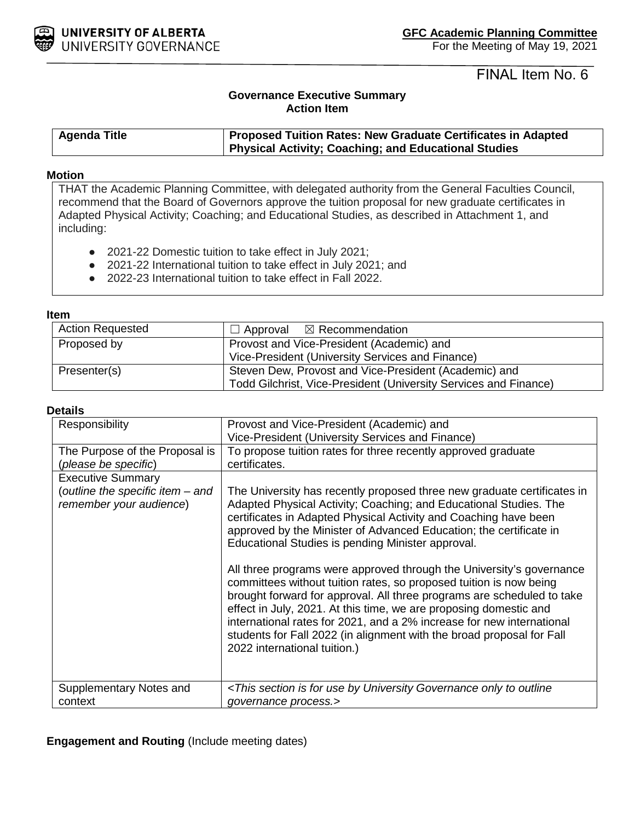

FINAL Item No. 6

# **Governance Executive Summary Action Item**

| <b>Agenda Title</b> | <b>Proposed Tuition Rates: New Graduate Certificates in Adapted</b> |  |  |
|---------------------|---------------------------------------------------------------------|--|--|
|                     | Physical Activity; Coaching; and Educational Studies                |  |  |

### **Motion**

THAT the Academic Planning Committee, with delegated authority from the General Faculties Council, recommend that the Board of Governors approve the tuition proposal for new graduate certificates in Adapted Physical Activity; Coaching; and Educational Studies, as described in Attachment 1, and including:

- 2021-22 Domestic tuition to take effect in July 2021;
- 2021-22 International tuition to take effect in July 2021; and
- 2022-23 International tuition to take effect in Fall 2022.

#### **Item**

| <b>Action Requested</b> | $\Box$ Approval $\boxtimes$ Recommendation                       |  |  |  |
|-------------------------|------------------------------------------------------------------|--|--|--|
| Proposed by             | Provost and Vice-President (Academic) and                        |  |  |  |
|                         | Vice-President (University Services and Finance)                 |  |  |  |
| Presenter(s)            | Steven Dew, Provost and Vice-President (Academic) and            |  |  |  |
|                         | Todd Gilchrist, Vice-President (University Services and Finance) |  |  |  |

## **Details**

| Responsibility                   | Provost and Vice-President (Academic) and                                                                                                                                                                                                                                                                                                                                                                                                                                   |  |  |  |  |
|----------------------------------|-----------------------------------------------------------------------------------------------------------------------------------------------------------------------------------------------------------------------------------------------------------------------------------------------------------------------------------------------------------------------------------------------------------------------------------------------------------------------------|--|--|--|--|
|                                  | Vice-President (University Services and Finance)                                                                                                                                                                                                                                                                                                                                                                                                                            |  |  |  |  |
| The Purpose of the Proposal is   | To propose tuition rates for three recently approved graduate                                                                                                                                                                                                                                                                                                                                                                                                               |  |  |  |  |
| (please be specific)             | certificates.                                                                                                                                                                                                                                                                                                                                                                                                                                                               |  |  |  |  |
|                                  |                                                                                                                                                                                                                                                                                                                                                                                                                                                                             |  |  |  |  |
| <b>Executive Summary</b>         |                                                                                                                                                                                                                                                                                                                                                                                                                                                                             |  |  |  |  |
| (outline the specific item – and | The University has recently proposed three new graduate certificates in                                                                                                                                                                                                                                                                                                                                                                                                     |  |  |  |  |
| remember your audience)          | Adapted Physical Activity; Coaching; and Educational Studies. The                                                                                                                                                                                                                                                                                                                                                                                                           |  |  |  |  |
|                                  | certificates in Adapted Physical Activity and Coaching have been                                                                                                                                                                                                                                                                                                                                                                                                            |  |  |  |  |
|                                  | approved by the Minister of Advanced Education; the certificate in                                                                                                                                                                                                                                                                                                                                                                                                          |  |  |  |  |
|                                  | Educational Studies is pending Minister approval.                                                                                                                                                                                                                                                                                                                                                                                                                           |  |  |  |  |
|                                  |                                                                                                                                                                                                                                                                                                                                                                                                                                                                             |  |  |  |  |
|                                  | All three programs were approved through the University's governance<br>committees without tuition rates, so proposed tuition is now being<br>brought forward for approval. All three programs are scheduled to take<br>effect in July, 2021. At this time, we are proposing domestic and<br>international rates for 2021, and a 2% increase for new international<br>students for Fall 2022 (in alignment with the broad proposal for Fall<br>2022 international tuition.) |  |  |  |  |
| Supplementary Notes and          | <this by="" for="" governance="" is="" only="" outline<="" section="" td="" to="" university="" use=""></this>                                                                                                                                                                                                                                                                                                                                                              |  |  |  |  |
| context                          | governance process.>                                                                                                                                                                                                                                                                                                                                                                                                                                                        |  |  |  |  |

## **Engagement and Routing** (Include meeting dates)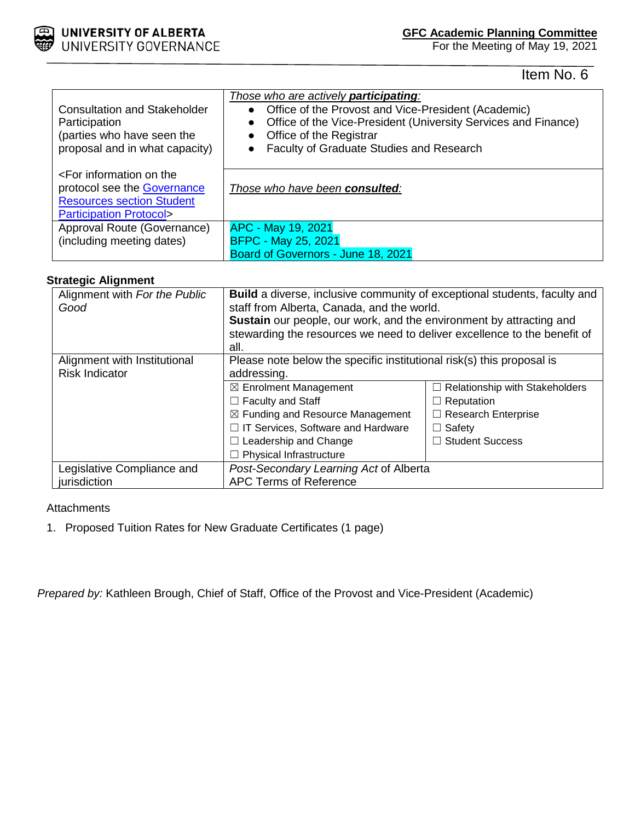

For the Meeting of May 19, 2021

Item No. 6

| <b>Consultation and Stakeholder</b><br>Participation<br>(parties who have seen the<br>proposal and in what capacity)                             | Those who are actively <b>participating</b> :<br>• Office of the Provost and Vice-President (Academic)<br>Office of the Vice-President (University Services and Finance)<br>• Office of the Registrar<br>Faculty of Graduate Studies and Research |
|--------------------------------------------------------------------------------------------------------------------------------------------------|---------------------------------------------------------------------------------------------------------------------------------------------------------------------------------------------------------------------------------------------------|
| <for information="" on="" the<br="">protocol see the Governance<br/><b>Resources section Student</b><br/><b>Participation Protocol&gt;</b></for> | Those who have been consulted:                                                                                                                                                                                                                    |
| Approval Route (Governance)<br>(including meeting dates)                                                                                         | APC - May 19, 2021<br><b>BFPC - May 25, 2021</b><br>Board of Governors - June 18, 2021                                                                                                                                                            |

# **Strategic Alignment**

| Alignment with For the Public<br>Good | Build a diverse, inclusive community of exceptional students, faculty and<br>staff from Alberta, Canada, and the world.<br>Sustain our people, our work, and the environment by attracting and<br>stewarding the resources we need to deliver excellence to the benefit of<br>all. |                                       |  |  |
|---------------------------------------|------------------------------------------------------------------------------------------------------------------------------------------------------------------------------------------------------------------------------------------------------------------------------------|---------------------------------------|--|--|
| Alignment with Institutional          | Please note below the specific institutional risk(s) this proposal is                                                                                                                                                                                                              |                                       |  |  |
| <b>Risk Indicator</b>                 | addressing.                                                                                                                                                                                                                                                                        |                                       |  |  |
|                                       | $\boxtimes$ Enrolment Management                                                                                                                                                                                                                                                   | $\Box$ Relationship with Stakeholders |  |  |
|                                       | $\Box$ Faculty and Staff                                                                                                                                                                                                                                                           | $\Box$ Reputation                     |  |  |
|                                       | $\boxtimes$ Funding and Resource Management                                                                                                                                                                                                                                        | $\Box$ Research Enterprise            |  |  |
|                                       | □ IT Services, Software and Hardware                                                                                                                                                                                                                                               | $\Box$ Safety                         |  |  |
|                                       | $\Box$ Leadership and Change                                                                                                                                                                                                                                                       | □ Student Success                     |  |  |
|                                       | $\Box$ Physical Infrastructure                                                                                                                                                                                                                                                     |                                       |  |  |
| Legislative Compliance and            | Post-Secondary Learning Act of Alberta                                                                                                                                                                                                                                             |                                       |  |  |
| jurisdiction                          | <b>APC Terms of Reference</b>                                                                                                                                                                                                                                                      |                                       |  |  |

# **Attachments**

1. Proposed Tuition Rates for New Graduate Certificates (1 page)

*Prepared by:* Kathleen Brough, Chief of Staff, Office of the Provost and Vice-President (Academic)